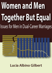# **Women and Men Together But Equal Issues for Men in Dual-Career Marriages**



**Lucia Albino Gilbert**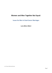# **Women and Men Together But Equal:**

**Issues for Men in Dual-Career Marriages**

**Lucia Albino Gilbert**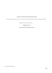## e-Book 2016 International Psychotherapy Institute

From *Handbook of Counseling and Psychotherapy with Men* by Murray Scher, MarkStevens, Glenn Good, Gregg A. Eichenfield

Copyright © 1987 by Sage Publications, Inc.

# All Rights Reserved

Created in the United States of America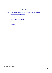# **Table of Contents**

Women and Men Together But Equal: Issues for Men in [Dual-Career](#page-4-0) Marriages

The Male [Partnerin](#page-4-1) a Changing Society

**Stress and [Coping](#page-7-0)** 

[Recommendations](#page-14-0) for the Practitioner

**[Summary](#page-18-0)** 

**[References](#page-18-1)**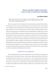# **Women and Men Together But Equal: Issues for Men in Dual-Career Marriages**

# **Lucia Albino Gilbert**

<span id="page-4-0"></span>While the anger of women may be a necessary stimulus to any sex-role change in our society, our work with the male side of the universe will be more successful if it proceeds out of understanding of the issues, and if it includes a measure of compassion. (Napier, 1986, p. 1)

Men's and women's lives are inextricably linked. As the introductory quote from Napier indicates, recent changes in women's roles and self-perceptions have had and continue to have enormous impact on men. Nonetheless, aspects of both the male and female experience may make the dual-career family pattern difficult even for the well-meaning man and woman. Despite the large percentage of married couples in which both spouses are employed, the dual-career family pattern, as defined here, is far from normative (see Gilbert & Rachlin, in press, for a discussion of how the dual-career family differs from the broader category of dual-earner family, which is normative). A marital life in which a wife and husband are together in a personal, intimate, and economic sense *and* also equal in terms of aspirations, life choices, and personal worth is inconsistent with traditional concepts of marriage and often is difficult to accept cognitively and embrace emotionally. This chapter focuses on traditional and emergent views of masculinity and the male role that directly pertain to the dual-career family pattern. Key issues inherent in the psychosocial development of men are described first. Sources of stress in dual-career marriages and factors that promote effective coping and well-being are then addressed. Finally, recommendations are made for counseling and psychotherapeutic interventions.

#### **The Male Partner in a Changing Society**

<span id="page-4-1"></span>Men are taught that they must achieve occupationally. In order to attain power, prestige, money, and other indices of achievement, many men readily sacrifice emotional expressiveness, intimacy, and interrelatedness. Because manliness, or one's sense of self as a man, is also tied to the "good provider role" (Bernard, 1981), men often become controlled by their occupational obligations and the economic structure. To be a real man, and a successful man, the male must be an effective breadwinner, whatever the physical and emotional costs involved. Finally, successful men are independent and do what is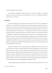necessary to make their way in the world.

Such traditional socialization profoundly affects men's behaviors, attitudes, and emotional responses. In this section, the influence of male socialization in three areas—entitlement, dependency, and nurturance—is discussed.

# **ENTITLEMENT**

I've heard complaints from many single women that they can't trust any man's willingness to promote their careers" (Mott, 1985, p. 58). Many men who advocate equality as an ideal in reality view a woman's career as secondary, and the emotional support they provide to their spouse and their level of involvement in family work reflect this view. Male prerogative demands that what men do or want to do should take precedence; and for many men, a successful husband should not have to do housework. Needless to say, being a supportive husband or involved father is difficult when so doing is experienced as infringing on a husband's needs to maintain his own dominance or as interfering with his own ambition. One man in a dual-career marriage described his struggle to live with his ambition and stay in his dual-career marriage as follows: "When I hold my daughter or brush out her hair or tell her stories, I am frightened by the side of me that wants to push ahead at her expense. At the same time, I feel that by taking on more of Roberta's [his wife] load I am losing ground in my career; it's like swimming with rocks in mypockets"(Wright, 1985,p. 166).

Feelings of entitlement may also engender feelings of competition between the spouses (Rice, 1979), which may have positive or negative effects for the marital relationship. On the other hand, an ambitious spouse can enhance a man's own ambition and encourage him to move into new and creative directions. He may be unable to get excited about his spouse's career success, however, when he views his advances and salary as lagging behind. Such a situation may cause embarrassment for the man and perhaps his spouse as well. Because men and women are socialized in the same social context, and therefore acquire many of the same views of gender-related status, both spouses may see husbands who are less successful than wives as unworthy (Blumstein & Schwartz, 1983).

Another important aspect of male entitlement—one that can cause particular stress for men in dual-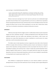career marriages—is described by Blumenthal (1985):

As men, we have been like America itself—and still often are. Accustomed to immediate respect, attention, deference, flirtation when we walk into a room full of women (or by analogy, into a foreign country), it still comes, I think, as a shock to many of us that we are, in some measure, no big deal—in fact, are at times perceived as the enemy, (p. 74)

Women in dual-career marriages do not "need" men the way that men were traditionally brought up to believe they did. Women who can support themselves, and want to, can afford to have expectations for their marriage beyond financial security, and because they are more self-sufficient and have the social sanctions for being so, they can leave if these expectations are not met. And if, indeed, these women "need" men, it is as partners, not protectors; as someone to look across at, not up to.

#### **DEPENDENCY**

Gilbert(in press) argues that the struggle to achieve a healthy balance between passive dependent longings and active autonomous strivings is a lifelong developmental task for both genders but that traditional patriarchal views have hidden male dependency needs behind a cloak of power and dominance over women. Men's dependency on women is manifested as a need for power over women rather than a need for connectedness between equals.

The hidden nature of male dependency has been recognized by several other writers. Baumrind (1980), for example, believes that boys are bribed by promises of power and dominance to relinquish aspects of their dependency strivings prematurely and thus may depend more than they realize on unconditional acceptance and nurturance from a woman to sustain their pseudo-independent stance. Similarly, Pogrebin (1983) points out, "Contrary to the popular belief that women have the greater dependency needs, men's [noneconomic] dependency needs are far more insatiable Sex specialization in caring atrophies men's capacity to give comfort" (p. 197).

## **NURTURANCE**

Men's difficulty in recognizing their dependency can cause immense problems in dual-career marriages because a sine qua non for the maintenance of such a marriage is spouse support (Rapoport &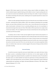Rapoport, 1982). Spouse support not only involves valuing a spouse's abilities and ambitions, it also involves emotional support, empathic listening, and the ability to nurture. It requiresputting aside one's own needs to be nurtured and emotionally sustained and doing so for another. It requires drawing out the emotions and feelings of the other person, something men have typically depended on women to do for them (Pleck, 1981).

Indeed, one of the mosttypical motivations of men who choose the dual-career lifestyle is the desire to nurture—particularly their children (Gilbert, 1985). Close emotional relationships have increasingly become a core part of these individuals' sense of self as a man. A value shift seems to be occurring in our culture toward greater involvement of men in parenting (although many men do not participate in housework to the degree that women do; Pleck, 1985). Gilbert (1985) reports that in her sample of men in dual-career families, 14% were judged by raters to be more involved than the wife in parenting, 32% as involved, and 54% less involved.

In summary, when we look at "women and men together but equal" from the male perspective, we see that for men the attainment of more egalitarian roles by women generally involves more than sharing status and power with women. Because male power over women is central to extant views of masculinity and because wives traditionally sustained husbands'personal and work life, men in dual-career families also need to revise their sense of self. This is not a one-time task, and it is not easily accomplished. All the same, as we shall see later, some men are actively engaged in this process of change and they do find it personally rewarding.

#### **Stress and Coping**

<span id="page-7-0"></span>It would be inaccurate to depict the dual-career family lifestyle as one replete with stress. Clearly, the choice to pursue a nontraditional lifestyle for which there are few societal supports and little precedence suggests that substantial benefits are possible for the individuals involved. The benefits for the female spouse are readily identified and include the opportunity to develop professionally and to establish a sense of self separate from a man and children, economic independence, greater intellectual companionship and contentment, and higher self-esteem (Blumstein & Schwartz, 1983; Gilbert, 1985; Rapoport& Rapoport, 1971, 1976).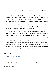The benefits of dual-career marriage for men, at this point, are less dramatic and perhaps less evident than those for women; men have experienced fewer constraints from their traditional roles and have not asked for change. As was mentioned earlier, men's involvement in careers was historically associated with what Bernard (1981) calls the "good provider role." The successful man provided well economically for his dependent wife and children but had little involvement in the home. Thus the foremost potential benefits of dual-career marriage for the male spouse are freedom from the mantle of total economic responsibility and family dependency and opportunities to involve himself in parenting and to express his inherent needs to nurture and bond. As was also noted earlier, men are raised to deny their normal dependency needs behind sex-typed needs for power and dominance; their dependency often getsprojected onto women and children. A less direct benefit is learning to accept women aspeers in work settings and recognizing women's abilities in the public sector.

Children in dual-career families benefit by having greater contact and involvement with both parents, being exposed to less sex-role stereotypic behavior in the home, and developing a greater sense of independence and competence by sharing responsibilities so that family life is successfully maintained (Russell, 1982; St. John-Parsons, 1978; Stephan & Corder, 1985). Adolescent and young adult children raised in dual-career families surveyed by Knaub (1986) viewed this lifestyle positively and rated their families high in family strength, especially in the areas of concern and support. The three most mentioned benefits of growing up in a dual-career family were having positive role models, financial security, and the opportunity to develop independence; time constraints was the mostmentioned problem. The comment of a 24-year-old male in the sample seemsparticularly apropos to this topic. He felt that the main advantage to him was "seeing my mother, and therefore, other women as my equal" (p. 435).

# **SOURCES OF STRESS**

#### *Whether, When, and How to Parent*

Mary and Mike have been married for five years. Both are in their early thirties and have demanding jobs that require long hours. They are feeling pressure to come to a decision about having a child.

The traditional family structure is a reflection, or outgrowth, of an ideology that places the primary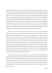responsibility for direct care of children on women. Parenting is equated with mothering. Thus when dual-career couples consider whether to have children, they also face the additional question of who will care for them. The recent focus on men's capacity to nurture and care for young children (Lamb, 1982, 1986; Pleck, 1985) is a departure from the earlier focus on the potential negative effects of working mothers on children (Hoffman, 1979). Even with changing societal trends, however, this ideology dies hard. Traditional sex-role ideology places the responsibility for child care with the wife, and in practice this typically is still the case even among dual-career families. Moreover, given current employment benefits and policies, women are better able than men to ask for and receive the accommodations necessary for combining work and family (e.g., maternity leaves, flexible schedules). As Schroeder (1985) notes, "If the father would want to take off [to stay home with the newborn infant], if he even mentions it, it's like he has lace on his jockey shorts. You don't do that in America" (p. 16).

Perhaps most crucial to stress in this area is the importance of a child, and a close emotional relationship with a child, to each spouse's self-concept and life goals. For example, should this importance differ markedly between the spouses the stress associated with a decision to remain childless, or to have a first or second child, could be considerable, depending on which spouse wanted a child more and the type of role accommodations characteristic of the marital relationship. Still, today it is easier for the male spouse to admit a low desire to be involved in child rearing and then actually to remain relatively uninvolved than it is for the female spouse. Thus the decision to have a child would be made all the more stressful when one spouse feels she (or he) will have to do all the accommodating. For men, the psychological cost involved in deciding to have a child may be reduced by limiting the number of children to one or two (contrary to popular beliefs, only children fare well in life emotionally and intellectually; Falbo, 1984), by a strong commitment on his part to be involved in parenting, and by redefining traditional ideas of how a child should be reared.

Finally, for many parents, identifying quality day care is a particularly stressful task; although some corporations and communities provide some assistance in this area, the identification of suitable day care is by and large left to the individual family. In the vast majority of dual-career families some outside help is necessary to supplement the parents' care of children. The type of child care generally used depends on the age of the child. Most parents prefer group care for children older than three years, but they show no clear preference for individual or small-group care for children under three years of age (Kamerman,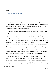#### 1980).

#### *Combining Occupational and Family Roles*

John is willing to help out when he can with his son and the housework, but his career is not nine to five. He feels that he is the one with the more demanding and financially rewarding career and that the effort he puts into his career entitles him to be freed from some household and family responsibilities.

How to combine occupational and family roles is a source of stress for both women and men in dualcareer families. Neither gender has role models for doing so, and neither gets much encouragement or assistance from their professional world to do so. Typically, the family is expected to accommodate to the demands of one's profession. As Pleck (1983) notes, some conflicts between work and family are intrinsic and present choices that individuals and society must face.

In principle, couples representative of the egalitarian model have dual-career marriages in which both spouses have major commitments to a full-time professional career. Numerous studies (for example, Rapoport & Rapoport, 1976), however, indicate that many dual-career marriages are far from egalitarian. In an in-depth study of men in dual-career families, Gilbert (1985) found three marital types, which she labeled *traditional, participant,* and *role-sharing.* In a traditional dual-career family, the responsibility for family work is retained by the woman, who adds the career role to her traditionally held family role. In the participant type, the parenting is shared by the spouses, but the woman retains responsibility for household duties. In this situation, male dominance is muted and gender-based role specialization is less extensive. In role-sharing dual-career families, both spouses are actively involved in both household duties and parenting. This type of marriage, which is best understood as an ideal that some dual-career couples are striving for, rather than as a common pattern, is most successful in eliminating gender-based role specialization and power associated with male dominance, as evidenced by such indicators as spouses' salaries, sources of spouse support, and involvementin family work.

Factors influencing the type of marital role pattern adopted in dual-career families can be divided into three major categories—personal factors, relational factors, and environmental factors. Personal factors include personality characteristics, attitudes, values, interests, and abilities. Examples of relational factors are sources of power in the relationship (e.g., expert or coercive power) and tasks that need to be done to maintain the family system. Finally, environmental factors refer to the structure of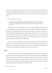occupations, societal norms and attitudes, and social networks and support systems. Satisfaction with the particular pattern adopted depends on these same factors, as well as on the degree of congruence and mutuality between spouses. Particular attention is given to these factors in the section on coping that follows.

#### *Occupational Mobility and Job Placement*

Lisa returned to school to increase her career opportunities and Larry, her spouse, very much supported this decision. Lisa has now completed her degree and recently received an attractive job offer in a desirable area. The employment opportunities for Larry, however, are relatively unknown and would need to be worked out after relocation.

Job placement and occupational mobility may very well be the most difficult issue for members of dual-career families and one for which there is no ready or easy solution. Finding two equally attractive job offers within reasonable geographic proximity in a desired locale is no small feat and indeed may prove to be impossible. Although couples may wish to give equal weight to the interests of both partners in reaching decisions about new jobs or relocations, various factors often make a strictly egalitarian decision impossible (Wallston, Foster, & Berger, 1978). Husband-oriented career choices are still predominant, however (Bird & Bird, 1985; Gilbert, 1985).

Men's own sense of entitlement may come to the fore when decisions about relocation must be made. As one man remarked in a recent article, "Then it struck me where my fears came from. The man in the family—me—was putting his career at the mercy of his wife's. In the starkest psychological terms, I was following her and abdicating my traditional male role" (Mott, 1985,p. 58).

# **COPING**

A satisfying, fulfilling dual-career marriage depends on the spouses' willingness to struggle with the difficulties of integrating work and family roles and of developing a sense of self, despite societal pressure to conform to gender-typed roles and behaviors. What are the resources needed to effectively weather difficulties, dilemmas, and stresses intrinsic to the dual-career lifestyle? Three conceptual categories particularly useful for understanding stress and coping in dual-career families are personal resources, family resources, and societal resources (Gilbert, 1985).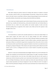#### *Personal Resources*

Most salient among the personal resources for dealing with stressors are material or financial assets, education, physical health, and sociopsychological characteristics. Among dual-career families, however, the latter resource is most likely to influence coping. Sociopsychological resources include one's personality attributes, characteristic ways of coping, and personal beliefs and attitudes.

Men in dual-career families typically report relatively high self-esteem, personal styles that reflect expressive (e.g., warmth) and instrumental (e.g., achievement-oriented) traits, and relatively liberal or pro-feminist views (i.e., belief in the social, political, and economic equality of women and men). Generally speaking, they are supportive of the women's career efforts and have the capacity to value strengths in their wives.

#### *Family Resources*

Two characteristics are central to the successful maintenance of a dual-career family lifestyle: (1) mutual spouse support and shared values and (2) coping strategies that reflect redefinition, compromise, and commitment. Because the dual-career family challenges traditional assumptions about family roles and functioning, spouse support is crucial to effective coping—particularly support by the male spouse. (Women are socialized to support men's occupational roles, whereas the reverse is not the case.) Numerous studies report that having a supportive husband is a key factor in successful dual-career marriages (e.g., Rapoport& Rapoport, 1982). Ideally, such supportincludespositive attitudes toward the woman's career as well as a willingness by the man to involve himself in household and parenting responsibilities.

Spouses in a dual-career marriage typically must struggle with their own sex-role socialization. For example, men committed to role sharing may find it embarrassing to "be caught" vacuuming or doing the laundry or to admit that their wives earn more of the family income than they do; their spouses, in contrast, may well feel reluctant to put their career needs ahead of the husband's or to waken husbands for 2 a.m. feedings. Functioning as a dual-career couple may at times also require behaving in ways that counter societal expectations and risk peer disapproval. A man who "follows his wife,'' for example, is likely to find that professional colleagues and friends cannot understand why he doesn't divorce her or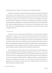put his foot down and say, "Stop this career nonsense, woman, and getinto the kitchen!"

Finally, the sense of fairness or equity about the balance of family and professional roles achieved by the spouses is crucial. Equality of power is not the issue but rather the perceptions of equity or proportional returns in the exchange of personal and economic resources. That is, does each partner feel that the other is doing his or her fair share when all aspects of the relationship are considered? Successful dual-career marriages are characterized by communication and commitment; compromise, realistic expectations, and flexibility; and an apportionment of household and parental responsibilities that is viewed as equitable by both partners. As one man married to a businesswoman said in a recent study, "Both of us are accommodating people. If an expectation is not met, that is not cause for walking out" (Gilbert, 1985,p. 72).

#### *Societal Resources*

The norms and rules of a society provide individuals with a set of ready responses to problems. Unfortunately, for women and men in dual-career families the extant norms and rules often are incompatible or inapplicable to their situation and can themselves be the cause of the stresses and conflicts experienced. Clearly, this is the category of resource that is consistently deficient or unavailable for dual-career couples and the one over which they have the least direct control. Men in dual-career families need to recognize these limited societal supports and existing equities and do all thatthey can in their organizations to improve things. Also crucial is their ability to recognize those conflicts that are unique to themselves and those conflicts that stem from insufficient societal supports.

At the present time, dual-career couples must cope with the stressors in their lifestyle largely as individuals, negotiating stress-reducing changes and strategies on their own and in a "create as one goes" context. As has been repeatedly noted here, however, the long-term acceptance and maintenance of the dual-career family as a feasible option will require support from society as a whole. Changes in the structure of work, provision for adequate child care, rethinking of transfer and relocation policies, and increased career opportunities for women are all social policy innovations that would make it significantly easier for dual-career families to thrive. (For a detailed discussion of these issues, see Walker, Rozee-Koker, and Wallston,in press.)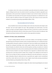In summary, stress in the various areas described is generally minimized by mutuality in spouse support, willingness by the man to be actively involved in parenting, and relatively comparable career opportunities in their present locale. Typically, the husband is more involved in family work when the wife contributes more financially and when greater meaning and importance are attributed to her work. Thus the smaller the difference between the husband's and the wife's income, the more involved the husband is in household and parenting responsibilities (Gilbert, 1985).

## **Recommendationsfor the Practitioner**

<span id="page-14-0"></span>Areas of conflict for men in dual-career families center on the issues discussed in this chapter under the theme "men and women together but equal." Both psychological and societal factors, it has been argued, can hamper and impede attempts to embrace this ideal in real life. How can those in the mental health field assist individuals with this at times thorny process? This final section first addresses what therapists must bring to treatment and then considers various approaches to treatment.

#### **THERAPISTS' ATTITUDES, VALUES, AND KNOWLEDGE**

Crucial to working effectively with men in dual-career families is the knowledge and attitudes therapists bring to the therapeutic situation and the conceptual models they use in working with clients. Providing effective therapeutic assistance to individuals in dual-career families may be impossible if the therapist has inadequate knowledge and/or holds negative attitudes about this lifestyle. Moreover, because therapists, not unlike the clients who seek their guidance and help, are products of a relatively traditional socialization process, they need to constantly question their attitudes and beliefs about whatit means to be male (or female) in our society. Therapists who are opposed to or ambivalent about women pursuing careers, men being involved in family work, or changes in the traditional sex-role division of labor are not very likely to be able to understand and effectively work with individuals in a dual-career family relationship. Research indicates that men are generally more negative toward nontraditional careers than women; both men and women are more negative toward males pursuing nontraditional roles than females (e.g., Haring, Beyard-Tyler, & Grey, 1983).

In addition, the failure of therapists to recognize the salient internal (psychological) and external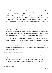(structural) barriers to an egalitarian marriage can be counterproductive and work against understanding the limits and obstacles men in dual-career marriages may face. What is needed is a sensitivity to the real difficulties, both psychological and pragmatic, of developing new concepts of self and of coordinating career and family roles and a respect for the values implicit in the choice of a dualcareer family lifestyle. Particularly crucial to effective therapeutic work is the recognition that the experiences of men in the dual-career situations are not the same as those of women. Because the gender-role socialization of women and men differs so dramatically, the areas they experience as problematic and the factors contributing toproblem areas often differ markedly. Combining a career and family is a different process, involving different choices and changes for men and women.

For men, the traditional structure of professional careers and the assumptions associated with male entitlement and independence have presented obstacles to fuller involvement in family life. For women, the traditional division of labor and assumptions about female dependency and nurturance have presented obstacles to fuller involvement in professional careers. These differences show up in the dayto-day conflicts of men and women in dual-career families and the issues they bring to therapy.

Husbands typically struggle with esteem issues stemming from a perceived loss of power and prestige or decreased freedom in their occupational pursuits, competition with spouses, or involvement in "women's work" within the family. Some men discover a fundamental discrepancy within the marriage; it may be easier to be a supporter or advocate if one's own immediate life is not affected. Wives, in contrast, often struggle with esteem issues regarding conflicts between parenting responsibilities and career interests, legitimate expectations for a man's involvement in family work, and redefinitions of their roles of wife and mother.

#### **EXAMPLES OF THERAPEUTIC INTERVENTIONS**

There are manypossible approaches to assisting men in dual-career families—at both the proactive and reactive levels of intervention. Most of us work at the reactive or treatment level. We see individuals or couples when they are having difficulties. In this section, issues that often emerge at the treatment level are addressed first. Programs possible at the preventive level are then considered briefly.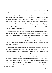Therapists who work at the *treatmentlevel* typically help their clients become aware of underlying feelings and attitudes related to problem areas. Particularly pertinent to this process are the various factors outlined in the earlier sections of this chapter. For example, understanding and acknowledging spouses' values about the prerogatives associated with being male is a sensitive and potentially explosive process, but one that is often essential to conflicts many clients experience. In the process of therapy some men may find that they are willing to make the changes needed and come to see them as benefiting themselves and their relationship. Others, however, may discover that to alter traditional sex-role behaviors and beliefs appreciably would be too great a cost given their career goals and life plans. Still others are cognizant of discrepancies between their attitudes and behavior and will continue to live this "double standard" until circumstances or their spouse push for change. As one client said, "I think it is entirely unfair that my wife does everything."

The handling of household responsibilities and parenting is another area frequently associated with relationship difficulties. Oftentimes men wish that they felt differently than they do or deny deeply ingrained beliefs and values. Helping clients to realize and acknowledge their inner emotional reality, regardless of how inconsistent it seems with cognitively held views, can free them of entrenched positions and allow them to consider alternate views and ways of being. Examining the implicit and explicit expectations of the marital contract and its relationship to traditional views of marriage is often an essential part of this process. Open, honest discussions of what is preferred, what is needed, and what is workable are then possible.

A case in point is a couple in which the male felt unappreciated by his spouse. He was preparing dinner three nights a week and doing what he considered to be his fair share of the family work. What emerged during the therapy was how his sense of male entitlements was getting in his way. He felt that he should be thanked for doing his share—after all, men typically have not done what he was doing. This attitude made his wife furious. Was she to be thanked for being a successful businesswoman because women typically have not done so? Even more upsetting to her was his then implicit assumption that she did not need to be thanked for preparing dinner the other four nights, because that is women's work. Important aspects of the therapeutic process for him were becoming aware of his unconscious attitudes about male and female rights and responsibilities in the marriage and assisting him in understanding how he and his spouse could feel the way they did. Crucial to this process was developing the self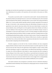knowledge and conviction that expanding his own perspective to include his wife's viewpoint did not mean abandoning his own position or life experiences. (For more details on this process, see Gilbert, 1984).

The proactive, or preventive, model—in contrast to the reactive model—educates individuals about the potential problems and challenges that men in a dual-career relationship may face. (The assessment schema developed by O'Neil, Fishman, and Kinsella-Shaw, in press, and the value analysis described by Walker et al., in press, provide material especially pertinent to proactive approaches.) The purpose of this type of intervention is both consciousness-raising and skills-building. Participants are given the opportunity to learn about the day-to-day realities of the dual-career family lifestyle, to examine their personal attitudes, values, and life goals vis-a-vis the egalitarian ideals of such a lifestyle, and, finally, to assess the likelihood of their being able to make the personal and attitudinal changes necessary to accommodate to a dual-career family situation as well as to develop strategies for problem solving and decision making. Daniluck and Herman (1984), for example, report that a workshop format was useful in facilitating parenthood decision-making—but of career women, not men. To date, few programs of this sort have been developed specifically for men. Moorman (1986), however, describes an organization called Father Focus, which provides fathers with an opportunity to talk about their lives and the choices they must make in integrating work and family demands.

Preventive programs can also take the form of marital enrichment and stress management programs. Marital enrichment is based on the premise that couples can provide support for each other and learn from each other if they have the opportunity to interact together as couples. As Mace (1982) points out, interacting as a couple in a couples' group is very different from interacting as an individual in a group. One of the key differences is that couples in a group interaction share their marriages by having a dialogue in front of other couples. This provides an experiential basis for sharing their marital experience. Also crucial is the cross-couple identification, modeling, and support underlying this model of intervention. Many men in dual-career families feel alone in their struggle with an emerging lifestyle, and hearing how other families deal with various conflicts and difficulties can be very helpful.

Like marital enrichment, stress management is particularly relevant to individuals attempting a nontraditional marital relationship. These individuals are coming to grips with new concepts of self and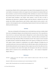are pioneering a lifestyle with few societal supports. A key aspect of stress management for men in dualcareer families is learning how to define and recognize stress and itsphysical and emotional effects and how to minimize or prevent its chronic development. Often individuals are unaware of how stressed they are because they are used to it or they assume it comes with the turf. Looking at some of the internal and external factors identified in this chapter, which mediate or cause the stress, can help in determining what behavioral or attitudinal changes could best alleviate or minimize the stress and promote more effective coping. Moreover, good nutrition, regular physical exercise, practice in selfassertion or time management, and an understanding of typical stressors for dual-career families can be effective preventive measures.

#### **Summary**

<span id="page-18-0"></span>Some men are basing their self-evaluations less on work-related issues and more on family-related issues and are attempting to integrate work and family into their concept of career. This is especially true of men who live in a dual-career family situation. Although there is much evidence that these changes benefit and enrich men's lives, they also encounter resistance—both from within men themselves and from the society at large. Astrachan (1986),in his book *How men feel: Their response to women's demands for equality and power* concluded that although nearly all men approve of working wives, only 5% to 10% support women's demands for independence and equality. Although his findings may not accurately describe men in dual-career families, they do reflectthe larger reality in which these men live. Mental health professionals need to be cognizant of these complex issues and how they affect men's lives. And, as was mentioned at the outset of this chapter, their therapeutic work with men in dual-career family's needs to "proceed out of an understanding of the issues . . . and a measure of compassion" (Napier, 1986,p. 1).

#### **References**

<span id="page-18-1"></span>Astrachan, A. (1986). *How men feel: Their response to women's demands for equality and power*. Garden City, NY: Anchor Press/Doubleday.

Baumrind, D. (1980). New directions in socialization research. *American Psychologist*, 35, 639-652.

Bernard, J. (1981). The good provider role: Its rise and fall. *American Psychologist*, 36,1-12.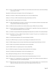Bird, G. A., & Bird, G. W. (1985). Determinants of mobility in two-earner families: Does the wife's income count? *Journal of Marriage and the Family*, 47, 753-758.

Blumenthal, M. (1985, November 10). No big deal. *The New York Times Magazine,* p. 74.

Blumstein, P., & Schwartz, P. (1983). *American couples: Money, work, sex.* New York: William Morrow.

- Daniluck, J. D., & Herman, A. (1984). Parenthood decision-making. *Family Relations*, 33, 607-612.
- Falbo, T. (Ed.). (1984). *The single-child family.* New York: Guilford.
- Gilbert, L. A. (1984). Understanding dual-career families. In *Perspectives on career development and behavior and the family: Family therapy collections.* Rockville, MD: Aspen Systems Corp.
- Gilbert, L. A. (1985). *Men in dual-career families: Current realities and future prospects*. Hillsdale, NJ: Lawrence Erlbaum.
- Gilbert, L. A. (in press). Gender issues in psychotherapy. In J. R. McNamara& M. A. Appel (Eds.), *Critical issues, developments, and trends in professional psychology* (Vol. 3). New York: Praeger.
- Gilbert, L. A., & Rachin, V. (in press). Mental health and psychological functioning of dual-career families. *The Counseling Psychologist.*
- Haring, M., Beyard-Tyler, K., & Gray, J. (1983). Sex-biased attitudes of counselors: The special case of nontraditional careers. *Counseling and Values*, 27, 242-247.
- Hoffman, L. W. (1979). Maternal employment: 1979. *American Psychologist*, 34, 859-865.
- Kamerman, S. B. (1980). *Parenting in an unresponsive society: Managing work and family*. New York: Free Press.
- Knaub, P. K. (1986). Growing up in a dual-career family. *Family Relations: Journal of Applied Family & Child Studies*, 35, 431-437.
- Lamb, M. E. (1982). *The role of the father in child development.* Somerset, NJ: John Wiley.
- Lamb, M. E. (1986). *The father's role: Applied perspectives.* Somerset, NJ: John Wiley.
- Mace, D. R. (1982). *Close companions: The marriage enrichment handbook*. New York: Continuum.
- Moorman, F. B. (1986, May 18). Putting kids first. *The New York Times Magazine,* p. 114.
- Mott, G. (1985, April 14). Following a wife's move. *The New York Times Magazine,* p. 58.
- Napier, A. (1986). *Family politics theme for speakers.* National Council on Family Relations Report, Vol. 31, No. 3.
- O'Neil, J. M., Fishman, D. M., & Kinsella-Shaw, M. (in press). Dual-career couples' career transitions and normative dilemmas: A preliminary assessment model. *The Counseling Psychologist.*
- Pleck, J. H. (1981). Men's power with women, other men, and society: A men's movement analysis. In R. A. Lewis (Ed.), *Men in dif icult times: Masculinity today and tomorrow* (pp. 234-244). Englewood Cliffs, NJ: Prentice-Hall.